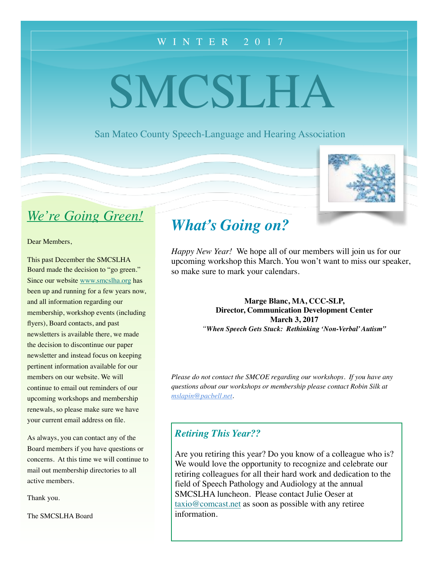## WINTER 201 7

# SMCSLHA

San Mateo County Speech-Language and Hearing Association



# *We're Going Green!*

Dear Members,

This past December the SMCSLHA Board made the decision to "go green." Since our website [www.smcslha.org](http://www.smcslha.org) has been up and running for a few years now, and all information regarding our membership, workshop events (including flyers), Board contacts, and past newsletters is available there, we made the decision to discontinue our paper newsletter and instead focus on keeping pertinent information available for our members on our website. We will continue to email out reminders of our upcoming workshops and membership renewals, so please make sure we have your current email address on file.

As always, you can contact any of the Board members if you have questions or concerns. At this time we will continue to mail out membership directories to all active members.

Thank you.

The SMCSLHA Board

# *What's Going on?*

*Happy New Year!* We hope all of our members will join us for our upcoming workshop this March. You won't want to miss our speaker, so make sure to mark your calendars.

> **Marge Blanc, MA, CCC-SLP, Director, Communication Development Center March 3, 2017** *"When Speech Gets Stuck: Rethinking 'Non-Verbal' Autism"*

*Please do not contact the SMCOE regarding our workshops. If you have any questions about our workshops or membership please contact Robin Silk at [mslapin@pacbell.net](mailto:mslapin@pacbell.net).*

### *Retiring This Year??*

Are you retiring this year? Do you know of a colleague who is? We would love the opportunity to recognize and celebrate our retiring colleagues for all their hard work and dedication to the field of Speech Pathology and Audiology at the annual SMCSLHA luncheon. Please contact Julie Oeser at [taxio@comcast.net](mailto:taxio@comcast.net) as soon as possible with any retiree information.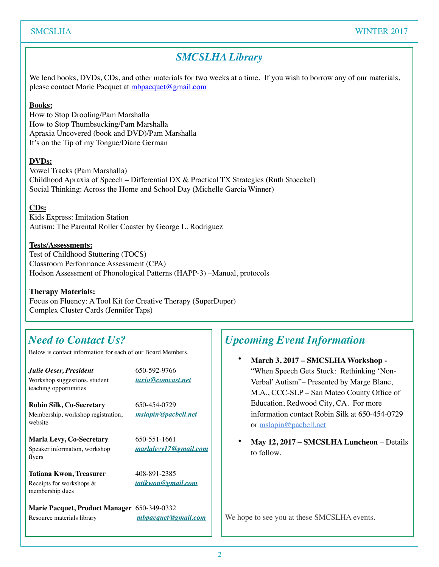# *SMCSLHA Library*

We lend books, DVDs, CDs, and other materials for two weeks at a time. If you wish to borrow any of our materials, please contact Marie Pacquet at [mbpacquet@gmail.com](mailto:mbpacquet@gmail.com)

#### **Books:**

How to Stop Drooling/Pam Marshalla How to Stop Thumbsucking/Pam Marshalla Apraxia Uncovered (book and DVD)/Pam Marshalla It's on the Tip of my Tongue/Diane German

#### **DVDs:**

Vowel Tracks (Pam Marshalla) Childhood Apraxia of Speech – Differential DX & Practical TX Strategies (Ruth Stoeckel) Social Thinking: Across the Home and School Day (Michelle Garcia Winner)

#### **CDs:**

Kids Express: Imitation Station Autism: The Parental Roller Coaster by George L. Rodriguez

#### **Tests/Assessments:**

Test of Childhood Stuttering (TOCS) Classroom Performance Assessment (CPA) Hodson Assessment of Phonological Patterns (HAPP-3) –Manual, protocols

#### **Therapy Materials:**

Focus on Fluency: A Tool Kit for Creative Therapy (SuperDuper) Complex Cluster Cards (Jennifer Taps)

# *Need to Contact Us?*

Below is contact information for each of our Board Members.

*Julie Oeser, President* 650-592-9766 Workshop suggestions, student *[taxio@comcast.net](mailto:taxio@comcast.net)* teaching opportunities

**Robin Silk, Co-Secretary** 650-454-0729 Membership, workshop registration, *[mslapin@pacbell.net](mailto:mslapin@pacbell.net)* website

**Marla Levy, Co-Secretary** 650-551-1661 Speaker information, workshop *[marlalevy17@gmail.com](mailto:marlalevy17@gmail.com)* flyers

Tatiana Kwon, Treasurer 408-891-2385 Receipts for workshops & *[tatikwon@gmail.com](mailto:tatikwon@gmail.com)* membership dues

**Marie Pacquet, Product Manager** 650-349-0332 Resource materials library *[mbpacquet@gmail.com](mailto:mbpacquet@gmail.com)*

# *Upcoming Event Information*

- **March 3, 2017 SMCSLHA Workshop -** "When Speech Gets Stuck: Rethinking 'Non-Verbal' Autism"– Presented by Marge Blanc, M.A., CCC-SLP – San Mateo County Office of Education, Redwood City, CA. For more information contact Robin Silk at 650-454-0729 or [mslapin@pacbell.net](mailto:mslapin@pacbell.net)
- **May 12, 2017 SMCSLHA Luncheon**  Details to follow.

We hope to see you at these SMCSLHA events.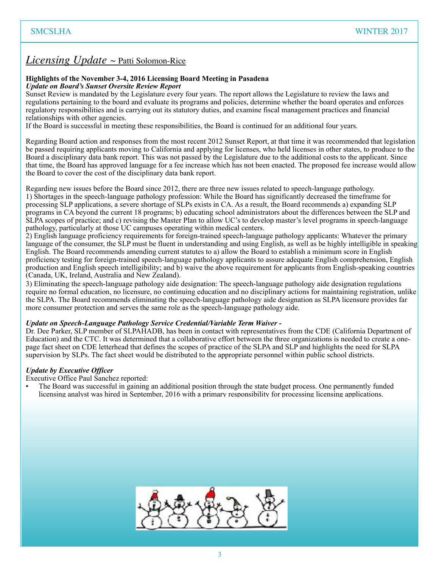## *Licensing Update* ~ Patti Solomon-Rice

#### **Highlights of the November 3-4, 2016 Licensing Board Meeting in Pasadena**  *Update on Board's Sunset Oversite Review Report*

Sunset Review is mandated by the Legislature every four years. The report allows the Legislature to review the laws and regulations pertaining to the board and evaluate its programs and policies, determine whether the board operates and enforces regulatory responsibilities and is carrying out its statutory duties, and examine fiscal management practices and financial relationships with other agencies.

If the Board is successful in meeting these responsibilities, the Board is continued for an additional four years.

Regarding Board action and responses from the most recent 2012 Sunset Report, at that time it was recommended that legislation be passed requiring applicants moving to California and applying for licenses, who held licenses in other states, to produce to the Board a disciplinary data bank report. This was not passed by the Legislature due to the additional costs to the applicant. Since that time, the Board has approved language for a fee increase which has not been enacted. The proposed fee increase would allow the Board to cover the cost of the disciplinary data bank report.

Regarding new issues before the Board since 2012, there are three new issues related to speech-language pathology. 1) Shortages in the speech-language pathology profession: While the Board has significantly decreased the timeframe for processing SLP applications, a severe shortage of SLPs exists in CA. As a result, the Board recommends a) expanding SLP programs in CA beyond the current 18 programs; b) educating school administrators about the differences between the SLP and SLPA scopes of practice; and c) revising the Master Plan to allow UC's to develop master's level programs in speech-language pathology, particularly at those UC campuses operating within medical centers.

2) English language proficiency requirements for foreign-trained speech-language pathology applicants: Whatever the primary language of the consumer, the SLP must be fluent in understanding and using English, as well as be highly intelligible in speaking English. The Board recommends amending current statutes to a) allow the Board to establish a minimum score in English proficiency testing for foreign-trained speech-language pathology applicants to assure adequate English comprehension, English production and English speech intelligibility; and b) waive the above requirement for applicants from English-speaking countries (Canada, UK, Ireland, Australia and New Zealand).

3) Eliminating the speech-language pathology aide designation: The speech-language pathology aide designation regulations require no formal education, no licensure, no continuing education and no disciplinary actions for maintaining registration, unlike the SLPA. The Board recommends eliminating the speech-language pathology aide designation as SLPA licensure provides far more consumer protection and serves the same role as the speech-language pathology aide.

#### *Update on Speech-Language Pathology Service Credential/Variable Term Waiver -*

Dr. Dee Parker, SLP member of SLPAHADB, has been in contact with representatives from the CDE (California Department of Education) and the CTC. It was determined that a collaborative effort between the three organizations is needed to create a onepage fact sheet on CDE letterhead that defines the scopes of practice of the SLPA and SLP and highlights the need for SLPA supervision by SLPs. The fact sheet would be distributed to the appropriate personnel within public school districts.

#### *Update by Executive Officer*

Executive Office Paul Sanchez reported:

• The Board was successful in gaining an additional position through the state budget process. One permanently funded licensing analyst was hired in September, 2016 with a primary responsibility for processing licensing applications.